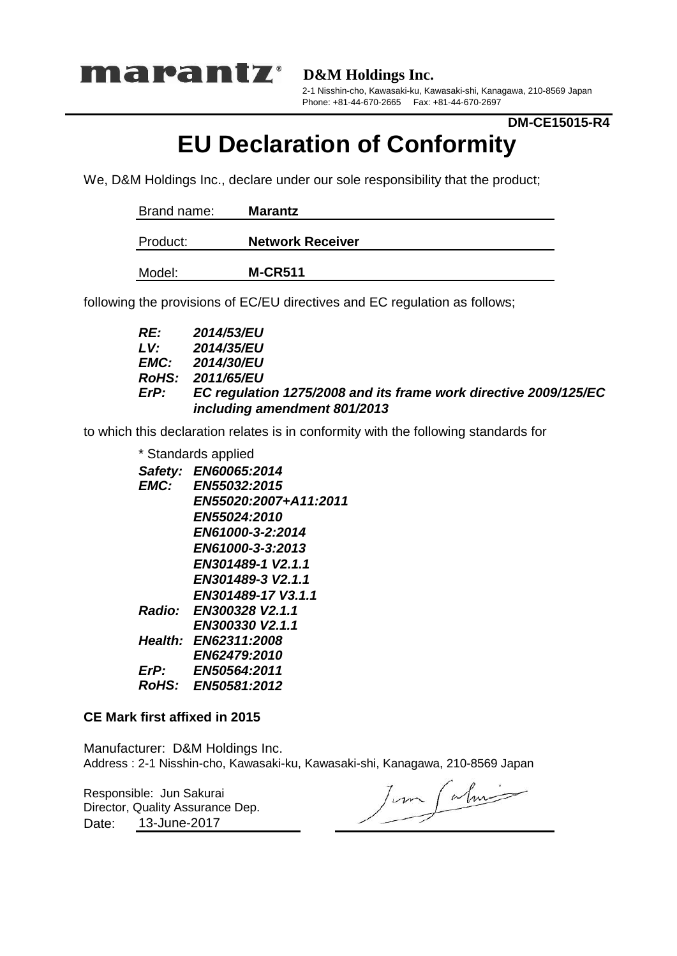

**D&M Holdings Inc.**

2-1 Nisshin-cho, Kawasaki-ku, Kawasaki-shi, Kanagawa, 210-8569 Japan Phone: +81-44-670-2665 Fax: +81-44-670-2697

## **DM-CE15015-R4**

## **EU Declaration of Conformity**

We, D&M Holdings Inc., declare under our sole responsibility that the product;

| Brand name: | <b>Marantz</b>          |  |  |
|-------------|-------------------------|--|--|
| Product:    | <b>Network Receiver</b> |  |  |
| Model:      | <b>M-CR511</b>          |  |  |

following the provisions of EC/EU directives and EC regulation as follows;

| RE:  | 2014/53/EU                                                       |
|------|------------------------------------------------------------------|
| LV:  | <b>2014/35/EU</b>                                                |
| EMC: | 2014/30/EU                                                       |
|      | RoHS: 2011/65/EU                                                 |
| ErP: | EC regulation 1275/2008 and its frame work directive 2009/125/EC |
|      | including amendment 801/2013                                     |

to which this declaration relates is in conformity with the following standards for

*Safety: EN60065:2014 EMC: EN55032:2015 EN55020:2007+A11:2011 EN55024:2010 EN61000-3-2:2014 EN61000-3-3:2013 EN301489-1 V2.1.1 EN301489-3 V2.1.1 EN301489-17 V3.1.1 Radio: EN300328 V2.1.1 EN300330 V2.1.1 Health: EN62311:2008 EN62479:2010 ErP: EN50564:2011 RoHS: EN50581:2012* \* Standards applied

## **CE Mark first affixed in 2015**

Manufacturer: D&M Holdings Inc. Address : 2-1 Nisshin-cho, Kawasaki-ku, Kawasaki-shi, Kanagawa, 210-8569 Japan

Responsible: Jun Sakurai Date: Director, Quality Assurance Dep. 13-June-2017

Jun Calmi